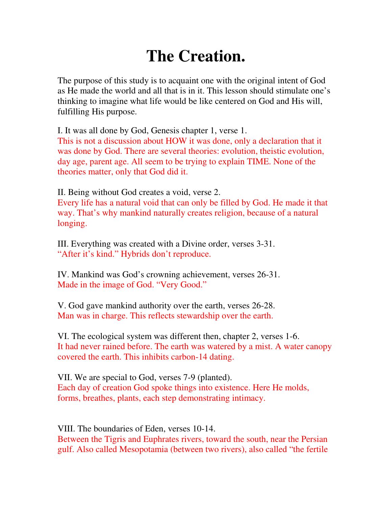## **The Creation.**

The purpose of this study is to acquaint one with the original intent of God as He made the world and all that is in it. This lesson should stimulate one's thinking to imagine what life would be like centered on God and His will, fulfilling His purpose.

I. It was all done by God, Genesis chapter 1, verse 1.

This is not a discussion about HOW it was done, only a declaration that it was done by God. There are several theories: evolution, theistic evolution, day age, parent age. All seem to be trying to explain TIME. None of the theories matter, only that God did it.

II. Being without God creates a void, verse 2.

Every life has a natural void that can only be filled by God. He made it that way. That's why mankind naturally creates religion, because of a natural longing.

III. Everything was created with a Divine order, verses 3-31. "After it's kind." Hybrids don't reproduce.

IV. Mankind was God's crowning achievement, verses 26-31. Made in the image of God. "Very Good."

V. God gave mankind authority over the earth, verses 26-28. Man was in charge. This reflects stewardship over the earth.

VI. The ecological system was different then, chapter 2, verses 1-6. It had never rained before. The earth was watered by a mist. A water canopy covered the earth. This inhibits carbon-14 dating.

VII. We are special to God, verses 7-9 (planted). Each day of creation God spoke things into existence. Here He molds, forms, breathes, plants, each step demonstrating intimacy.

VIII. The boundaries of Eden, verses 10-14. Between the Tigris and Euphrates rivers, toward the south, near the Persian

gulf. Also called Mesopotamia (between two rivers), also called "the fertile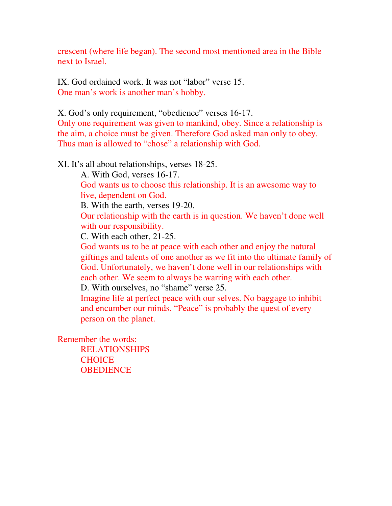crescent (where life began). The second most mentioned area in the Bible next to Israel.

IX. God ordained work. It was not "labor" verse 15. One man's work is another man's hobby.

X. God's only requirement, "obedience" verses 16-17. Only one requirement was given to mankind, obey. Since a relationship is the aim, a choice must be given. Therefore God asked man only to obey. Thus man is allowed to "chose" a relationship with God.

XI. It's all about relationships, verses 18-25.

A. With God, verses 16-17.

God wants us to choose this relationship. It is an awesome way to live, dependent on God.

B. With the earth, verses 19-20.

Our relationship with the earth is in question. We haven't done well with our responsibility.

C. With each other, 21-25.

God wants us to be at peace with each other and enjoy the natural giftings and talents of one another as we fit into the ultimate family of God. Unfortunately, we haven't done well in our relationships with each other. We seem to always be warring with each other.

D. With ourselves, no "shame" verse 25.

Imagine life at perfect peace with our selves. No baggage to inhibit and encumber our minds. "Peace" is probably the quest of every person on the planet.

Remember the words:

 RELATIONSHIPS **CHOICE OBEDIENCE**